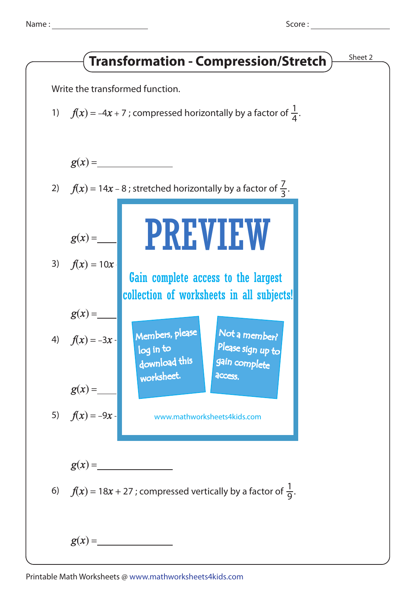